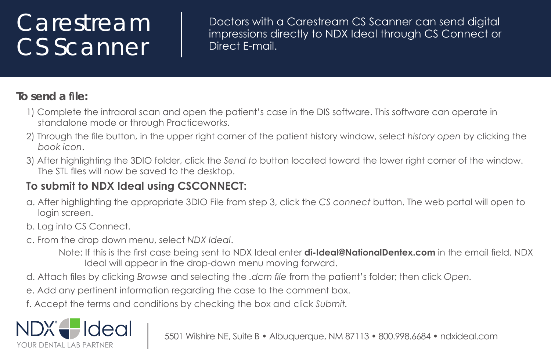## Carestream CS Scanner

Doctors with a Carestream CS Scanner can send digital impressions directly to NDX Ideal through CS Connect or Direct F-mail.

## In send a file:

- 1) Complete the intraoral scan and open the patient's case in the DIS software. This software can operate in standalone mode or through Practiceworks.
- 2) Through the file button, in the upper right corner of the patient history window, select history open by clicking the book icon
- 3) After highlighting the 3DIO folder, click the Send to button located toward the lower right corner of the window. The STL files will now be saved to the desktop.

## To submit to NDX Ideal using CSCONNECT:

- a. After highlighting the appropriate 3DIO File from step 3, click the CS connect button. The web portal will open to login screen.
- b. Log into CS Connect.
- c. From the drop down menu, select NDX Ideal.
	- Note: If this is the first case being sent to NDX Ideal enter **di-Ideal@NationalDentex.com** in the email field. NDX Ideal will appear in the drop-down menu moving forward.
- d. Attach files by clicking Browse and selecting the .dcm file from the patient's folder; then click Open.
- e. Add any pertinent information regarding the case to the comment box.
- f. Accept the terms and conditions by checking the box and click Submit.